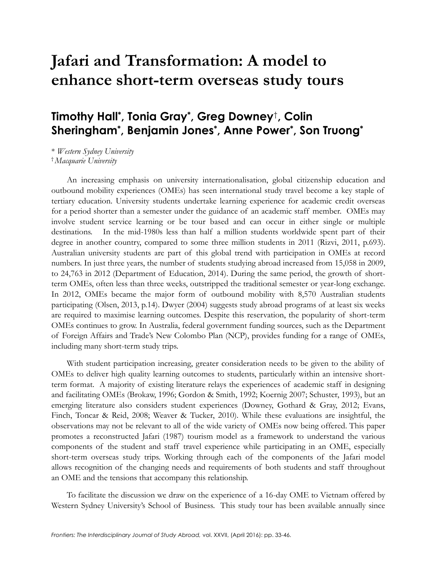# **Jafari and Transformation: A model to enhance short-term overseas study tours**

# **Timothy Hall\* , Tonia Gray\* , Greg Downey**†**, Colin Sheringham\* , Benjamin Jones\* , Anne Power\* , Son Truong\***

\* *Western Sydney University* † *Macquarie University*

An increasing emphasis on university internationalisation, global citizenship education and outbound mobility experiences (OMEs) has seen international study travel become a key staple of tertiary education. University students undertake learning experience for academic credit overseas for a period shorter than a semester under the guidance of an academic staff member. OMEs may involve student service learning or be tour based and can occur in either single or multiple destinations. In the mid-1980s less than half a million students worldwide spent part of their degree in another country, compared to some three million students in 2011 (Rizvi, 2011, p.693). Australian university students are part of this global trend with participation in OMEs at record numbers. In just three years, the number of students studying abroad increased from 15,058 in 2009, to 24,763 in 2012 (Department of Education, 2014). During the same period, the growth of shortterm OMEs, often less than three weeks, outstripped the traditional semester or year-long exchange. In 2012, OMEs became the major form of outbound mobility with 8,570 Australian students participating (Olsen, 2013, p.14). Dwyer (2004) suggests study abroad programs of at least six weeks are required to maximise learning outcomes. Despite this reservation, the popularity of short-term OMEs continues to grow. In Australia, federal government funding sources, such as the Department of Foreign Affairs and Trade's New Colombo Plan (NCP), provides funding for a range of OMEs, including many short-term study trips.

With student participation increasing, greater consideration needs to be given to the ability of OMEs to deliver high quality learning outcomes to students, particularly within an intensive shortterm format. A majority of existing literature relays the experiences of academic staff in designing and facilitating OMEs (Brokaw, 1996; Gordon & Smith, 1992; Koernig 2007; Schuster, 1993), but an emerging literature also considers student experiences (Downey, Gothard & Gray, 2012; Evans, Finch, Toncar & Reid, 2008; Weaver & Tucker, 2010). While these evaluations are insightful, the observations may not be relevant to all of the wide variety of OMEs now being offered. This paper promotes a reconstructed Jafari (1987) tourism model as a framework to understand the various components of the student and staff travel experience while participating in an OME, especially short-term overseas study trips. Working through each of the components of the Jafari model allows recognition of the changing needs and requirements of both students and staff throughout an OME and the tensions that accompany this relationship.

To facilitate the discussion we draw on the experience of a 16-day OME to Vietnam offered by Western Sydney University's School of Business. This study tour has been available annually since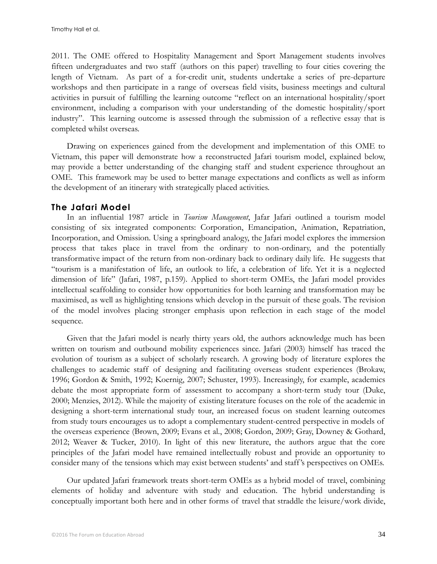2011. The OME offered to Hospitality Management and Sport Management students involves fifteen undergraduates and two staff (authors on this paper) travelling to four cities covering the length of Vietnam. As part of a for-credit unit, students undertake a series of pre-departure workshops and then participate in a range of overseas field visits, business meetings and cultural activities in pursuit of fulfilling the learning outcome "reflect on an international hospitality/sport environment, including a comparison with your understanding of the domestic hospitality/sport industry". This learning outcome is assessed through the submission of a reflective essay that is completed whilst overseas.

Drawing on experiences gained from the development and implementation of this OME to Vietnam, this paper will demonstrate how a reconstructed Jafari tourism model, explained below, may provide a better understanding of the changing staff and student experience throughout an OME. This framework may be used to better manage expectations and conflicts as well as inform the development of an itinerary with strategically placed activities.

#### **The Jafari Model**

In an influential 1987 article in *Tourism Management*, Jafar Jafari outlined a tourism model consisting of six integrated components: Corporation, Emancipation, Animation, Repatriation, Incorporation, and Omission. Using a springboard analogy, the Jafari model explores the immersion process that takes place in travel from the ordinary to non-ordinary, and the potentially transformative impact of the return from non-ordinary back to ordinary daily life. He suggests that "tourism is a manifestation of life, an outlook to life, a celebration of life. Yet it is a neglected dimension of life" (Jafari, 1987, p.159). Applied to short-term OMEs, the Jafari model provides intellectual scaffolding to consider how opportunities for both learning and transformation may be maximised, as well as highlighting tensions which develop in the pursuit of these goals. The revision of the model involves placing stronger emphasis upon reflection in each stage of the model sequence.

Given that the Jafari model is nearly thirty years old, the authors acknowledge much has been written on tourism and outbound mobility experiences since. Jafari (2003) himself has traced the evolution of tourism as a subject of scholarly research. A growing body of literature explores the challenges to academic staff of designing and facilitating overseas student experiences (Brokaw, 1996; Gordon & Smith, 1992; Koernig, 2007; Schuster, 1993). Increasingly, for example, academics debate the most appropriate form of assessment to accompany a short-term study tour (Duke, 2000; Menzies, 2012). While the majority of existing literature focuses on the role of the academic in designing a short-term international study tour, an increased focus on student learning outcomes from study tours encourages us to adopt a complementary student-centred perspective in models of the overseas experience (Brown, 2009; Evans et al., 2008; Gordon, 2009; Gray, Downey & Gothard, 2012; Weaver & Tucker, 2010). In light of this new literature, the authors argue that the core principles of the Jafari model have remained intellectually robust and provide an opportunity to consider many of the tensions which may exist between students' and staff 's perspectives on OMEs.

Our updated Jafari framework treats short-term OMEs as a hybrid model of travel, combining elements of holiday and adventure with study and education. The hybrid understanding is conceptually important both here and in other forms of travel that straddle the leisure/work divide,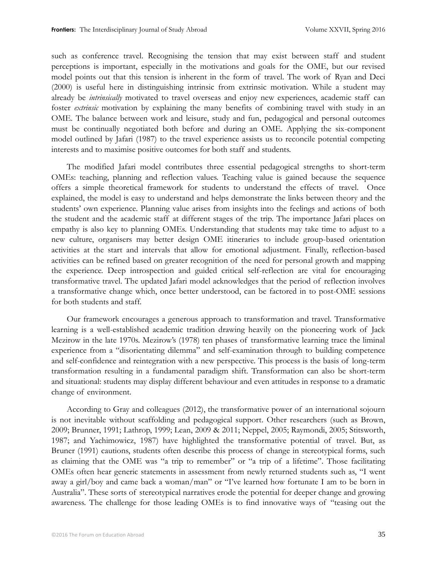such as conference travel. Recognising the tension that may exist between staff and student perceptions is important, especially in the motivations and goals for the OME, but our revised model points out that this tension is inherent in the form of travel. The work of Ryan and Deci (2000) is useful here in distinguishing intrinsic from extrinsic motivation. While a student may already be *intrinsically* motivated to travel overseas and enjoy new experiences, academic staff can foster *extrinsic* motivation by explaining the many benefits of combining travel with study in an OME. The balance between work and leisure, study and fun, pedagogical and personal outcomes must be continually negotiated both before and during an OME. Applying the six-component model outlined by Jafari (1987) to the travel experience assists us to reconcile potential competing interests and to maximise positive outcomes for both staff and students.

The modified Jafari model contributes three essential pedagogical strengths to short-term OMEs: teaching, planning and reflection values. Teaching value is gained because the sequence offers a simple theoretical framework for students to understand the effects of travel. Once explained, the model is easy to understand and helps demonstrate the links between theory and the students' own experience. Planning value arises from insights into the feelings and actions of both the student and the academic staff at different stages of the trip. The importance Jafari places on empathy is also key to planning OMEs. Understanding that students may take time to adjust to a new culture, organisers may better design OME itineraries to include group-based orientation activities at the start and intervals that allow for emotional adjustment. Finally, reflection-based activities can be refined based on greater recognition of the need for personal growth and mapping the experience. Deep introspection and guided critical self-reflection are vital for encouraging transformative travel. The updated Jafari model acknowledges that the period of reflection involves a transformative change which, once better understood, can be factored in to post-OME sessions for both students and staff.

Our framework encourages a generous approach to transformation and travel. Transformative learning is a well-established academic tradition drawing heavily on the pioneering work of Jack Mezirow in the late 1970s. Mezirow's (1978) ten phases of transformative learning trace the liminal experience from a "disorientating dilemma" and self-examination through to building competence and self-confidence and reintegration with a new perspective. This process is the basis of long-term transformation resulting in a fundamental paradigm shift. Transformation can also be short-term and situational: students may display different behaviour and even attitudes in response to a dramatic change of environment.

According to Gray and colleagues (2012), the transformative power of an international sojourn is not inevitable without scaffolding and pedagogical support. Other researchers (such as Brown, 2009; Brunner, 1991; Lathrop, 1999; Lean, 2009 & 2011; Neppel, 2005; Raymondi, 2005; Stitsworth, 1987; and Yachimowicz, 1987) have highlighted the transformative potential of travel. But, as Bruner (1991) cautions, students often describe this process of change in stereotypical forms, such as claiming that the OME was "a trip to remember" or "a trip of a lifetime". Those facilitating OMEs often hear generic statements in assessment from newly returned students such as, "I went away a girl/boy and came back a woman/man" or "I've learned how fortunate I am to be born in Australia". These sorts of stereotypical narratives erode the potential for deeper change and growing awareness. The challenge for those leading OMEs is to find innovative ways of "teasing out the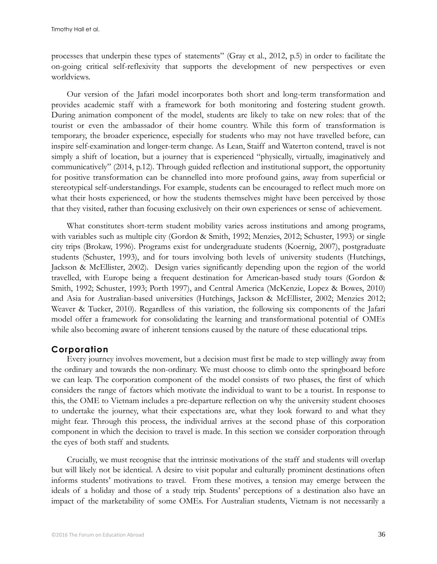processes that underpin these types of statements" (Gray et al., 2012, p.5) in order to facilitate the on-going critical self-reflexivity that supports the development of new perspectives or even worldviews.

Our version of the Jafari model incorporates both short and long-term transformation and provides academic staff with a framework for both monitoring and fostering student growth. During animation component of the model, students are likely to take on new roles: that of the tourist or even the ambassador of their home country. While this form of transformation is temporary, the broader experience, especially for students who may not have travelled before, can inspire self-examination and longer-term change. As Lean, Staiff and Waterton contend, travel is not simply a shift of location, but a journey that is experienced "physically, virtually, imaginatively and communicatively" (2014, p.12). Through guided reflection and institutional support, the opportunity for positive transformation can be channelled into more profound gains, away from superficial or stereotypical self-understandings. For example, students can be encouraged to reflect much more on what their hosts experienced, or how the students themselves might have been perceived by those that they visited, rather than focusing exclusively on their own experiences or sense of achievement.

What constitutes short-term student mobility varies across institutions and among programs, with variables such as multiple city (Gordon & Smith, 1992; Menzies, 2012; Schuster, 1993) or single city trips (Brokaw, 1996). Programs exist for undergraduate students (Koernig, 2007), postgraduate students (Schuster, 1993), and for tours involving both levels of university students (Hutchings, Jackson & McEllister, 2002). Design varies significantly depending upon the region of the world travelled, with Europe being a frequent destination for American-based study tours (Gordon & Smith, 1992; Schuster, 1993; Porth 1997), and Central America (McKenzie, Lopez & Bowes, 2010) and Asia for Australian-based universities (Hutchings, Jackson & McEllister, 2002; Menzies 2012; Weaver & Tucker, 2010). Regardless of this variation, the following six components of the Jafari model offer a framework for consolidating the learning and transformational potential of OMEs while also becoming aware of inherent tensions caused by the nature of these educational trips.

## **Corporation**

Every journey involves movement, but a decision must first be made to step willingly away from the ordinary and towards the non-ordinary. We must choose to climb onto the springboard before we can leap. The corporation component of the model consists of two phases, the first of which considers the range of factors which motivate the individual to want to be a tourist. In response to this, the OME to Vietnam includes a pre-departure reflection on why the university student chooses to undertake the journey, what their expectations are, what they look forward to and what they might fear. Through this process, the individual arrives at the second phase of this corporation component in which the decision to travel is made. In this section we consider corporation through the eyes of both staff and students.

Crucially, we must recognise that the intrinsic motivations of the staff and students will overlap but will likely not be identical. A desire to visit popular and culturally prominent destinations often informs students' motivations to travel. From these motives, a tension may emerge between the ideals of a holiday and those of a study trip. Students' perceptions of a destination also have an impact of the marketability of some OMEs. For Australian students, Vietnam is not necessarily a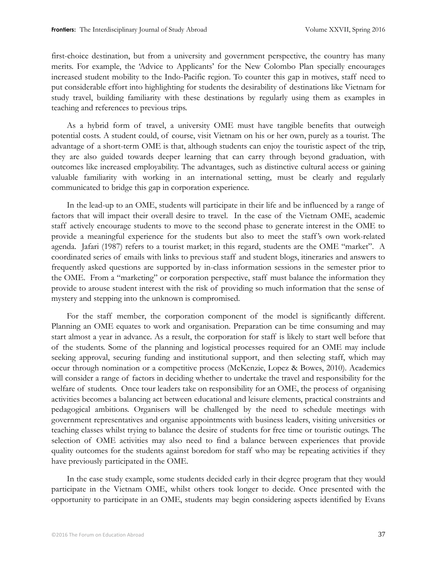first-choice destination, but from a university and government perspective, the country has many merits. For example, the 'Advice to Applicants' for the New Colombo Plan specially encourages increased student mobility to the Indo-Pacific region. To counter this gap in motives, staff need to put considerable effort into highlighting for students the desirability of destinations like Vietnam for study travel, building familiarity with these destinations by regularly using them as examples in teaching and references to previous trips.

As a hybrid form of travel, a university OME must have tangible benefits that outweigh potential costs. A student could, of course, visit Vietnam on his or her own, purely as a tourist. The advantage of a short-term OME is that, although students can enjoy the touristic aspect of the trip, they are also guided towards deeper learning that can carry through beyond graduation, with outcomes like increased employability. The advantages, such as distinctive cultural access or gaining valuable familiarity with working in an international setting, must be clearly and regularly communicated to bridge this gap in corporation experience.

In the lead-up to an OME, students will participate in their life and be influenced by a range of factors that will impact their overall desire to travel. In the case of the Vietnam OME, academic staff actively encourage students to move to the second phase to generate interest in the OME to provide a meaningful experience for the students but also to meet the staff 's own work-related agenda. Jafari (1987) refers to a tourist market; in this regard, students are the OME "market". A coordinated series of emails with links to previous staff and student blogs, itineraries and answers to frequently asked questions are supported by in-class information sessions in the semester prior to the OME. From a "marketing" or corporation perspective, staff must balance the information they provide to arouse student interest with the risk of providing so much information that the sense of mystery and stepping into the unknown is compromised.

For the staff member, the corporation component of the model is significantly different. Planning an OME equates to work and organisation. Preparation can be time consuming and may start almost a year in advance. As a result, the corporation for staff is likely to start well before that of the students. Some of the planning and logistical processes required for an OME may include seeking approval, securing funding and institutional support, and then selecting staff, which may occur through nomination or a competitive process (McKenzie, Lopez & Bowes, 2010). Academics will consider a range of factors in deciding whether to undertake the travel and responsibility for the welfare of students. Once tour leaders take on responsibility for an OME, the process of organising activities becomes a balancing act between educational and leisure elements, practical constraints and pedagogical ambitions. Organisers will be challenged by the need to schedule meetings with government representatives and organise appointments with business leaders, visiting universities or teaching classes whilst trying to balance the desire of students for free time or touristic outings. The selection of OME activities may also need to find a balance between experiences that provide quality outcomes for the students against boredom for staff who may be repeating activities if they have previously participated in the OME.

In the case study example, some students decided early in their degree program that they would participate in the Vietnam OME, whilst others took longer to decide. Once presented with the opportunity to participate in an OME, students may begin considering aspects identified by Evans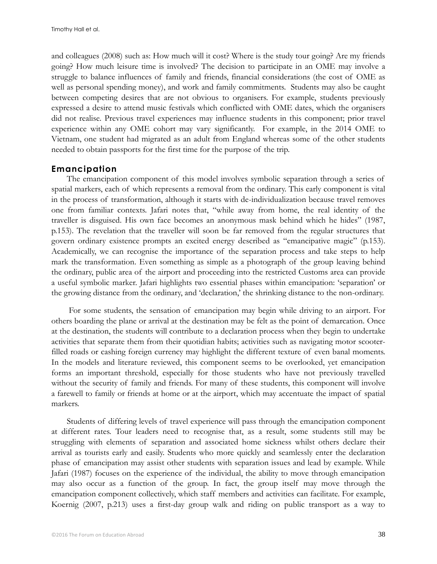and colleagues (2008) such as: How much will it cost? Where is the study tour going? Are my friends going? How much leisure time is involved? The decision to participate in an OME may involve a struggle to balance influences of family and friends, financial considerations (the cost of OME as well as personal spending money), and work and family commitments. Students may also be caught between competing desires that are not obvious to organisers. For example, students previously expressed a desire to attend music festivals which conflicted with OME dates, which the organisers did not realise. Previous travel experiences may influence students in this component; prior travel experience within any OME cohort may vary significantly. For example, in the 2014 OME to Vietnam, one student had migrated as an adult from England whereas some of the other students needed to obtain passports for the first time for the purpose of the trip.

#### **Emancipation**

The emancipation component of this model involves symbolic separation through a series of spatial markers, each of which represents a removal from the ordinary. This early component is vital in the process of transformation, although it starts with de-individualization because travel removes one from familiar contexts. Jafari notes that, "while away from home, the real identity of the traveller is disguised. His own face becomes an anonymous mask behind which he hides" (1987, p.153). The revelation that the traveller will soon be far removed from the regular structures that govern ordinary existence prompts an excited energy described as "emancipative magic" (p.153). Academically, we can recognise the importance of the separation process and take steps to help mark the transformation. Even something as simple as a photograph of the group leaving behind the ordinary, public area of the airport and proceeding into the restricted Customs area can provide a useful symbolic marker. Jafari highlights two essential phases within emancipation: 'separation' or the growing distance from the ordinary, and 'declaration,' the shrinking distance to the non-ordinary.

For some students, the sensation of emancipation may begin while driving to an airport. For others boarding the plane or arrival at the destination may be felt as the point of demarcation. Once at the destination, the students will contribute to a declaration process when they begin to undertake activities that separate them from their quotidian habits; activities such as navigating motor scooterfilled roads or cashing foreign currency may highlight the different texture of even banal moments. In the models and literature reviewed, this component seems to be overlooked, yet emancipation forms an important threshold, especially for those students who have not previously travelled without the security of family and friends. For many of these students, this component will involve a farewell to family or friends at home or at the airport, which may accentuate the impact of spatial markers.

Students of differing levels of travel experience will pass through the emancipation component at different rates. Tour leaders need to recognise that, as a result, some students still may be struggling with elements of separation and associated home sickness whilst others declare their arrival as tourists early and easily. Students who more quickly and seamlessly enter the declaration phase of emancipation may assist other students with separation issues and lead by example. While Jafari (1987) focuses on the experience of the individual, the ability to move through emancipation may also occur as a function of the group. In fact, the group itself may move through the emancipation component collectively, which staff members and activities can facilitate. For example, Koernig (2007, p.213) uses a first-day group walk and riding on public transport as a way to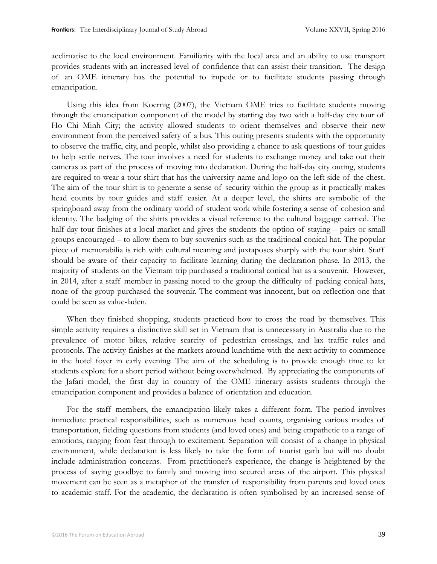acclimatise to the local environment. Familiarity with the local area and an ability to use transport provides students with an increased level of confidence that can assist their transition. The design of an OME itinerary has the potential to impede or to facilitate students passing through emancipation.

Using this idea from Koernig (2007), the Vietnam OME tries to facilitate students moving through the emancipation component of the model by starting day two with a half-day city tour of Ho Chi Minh City; the activity allowed students to orient themselves and observe their new environment from the perceived safety of a bus. This outing presents students with the opportunity to observe the traffic, city, and people, whilst also providing a chance to ask questions of tour guides to help settle nerves. The tour involves a need for students to exchange money and take out their cameras as part of the process of moving into declaration. During the half-day city outing, students are required to wear a tour shirt that has the university name and logo on the left side of the chest. The aim of the tour shirt is to generate a sense of security within the group as it practically makes head counts by tour guides and staff easier. At a deeper level, the shirts are symbolic of the springboard away from the ordinary world of student work while fostering a sense of cohesion and identity. The badging of the shirts provides a visual reference to the cultural baggage carried. The half-day tour finishes at a local market and gives the students the option of staying – pairs or small groups encouraged – to allow them to buy souvenirs such as the traditional conical hat. The popular piece of memorabilia is rich with cultural meaning and juxtaposes sharply with the tour shirt. Staff should be aware of their capacity to facilitate learning during the declaration phase. In 2013, the majority of students on the Vietnam trip purchased a traditional conical hat as a souvenir. However, in 2014, after a staff member in passing noted to the group the difficulty of packing conical hats, none of the group purchased the souvenir. The comment was innocent, but on reflection one that could be seen as value-laden.

When they finished shopping, students practiced how to cross the road by themselves. This simple activity requires a distinctive skill set in Vietnam that is unnecessary in Australia due to the prevalence of motor bikes, relative scarcity of pedestrian crossings, and lax traffic rules and protocols. The activity finishes at the markets around lunchtime with the next activity to commence in the hotel foyer in early evening. The aim of the scheduling is to provide enough time to let students explore for a short period without being overwhelmed. By appreciating the components of the Jafari model, the first day in country of the OME itinerary assists students through the emancipation component and provides a balance of orientation and education.

For the staff members, the emancipation likely takes a different form. The period involves immediate practical responsibilities, such as numerous head counts, organising various modes of transportation, fielding questions from students (and loved ones) and being empathetic to a range of emotions, ranging from fear through to excitement. Separation will consist of a change in physical environment, while declaration is less likely to take the form of tourist garb but will no doubt include administration concerns. From practitioner's experience, the change is heightened by the process of saying goodbye to family and moving into secured areas of the airport. This physical movement can be seen as a metaphor of the transfer of responsibility from parents and loved ones to academic staff. For the academic, the declaration is often symbolised by an increased sense of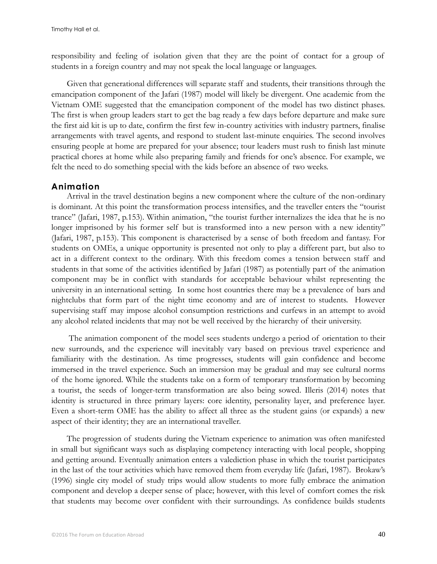responsibility and feeling of isolation given that they are the point of contact for a group of students in a foreign country and may not speak the local language or languages.

Given that generational differences will separate staff and students, their transitions through the emancipation component of the Jafari (1987) model will likely be divergent. One academic from the Vietnam OME suggested that the emancipation component of the model has two distinct phases. The first is when group leaders start to get the bag ready a few days before departure and make sure the first aid kit is up to date, confirm the first few in-country activities with industry partners, finalise arrangements with travel agents, and respond to student last-minute enquiries. The second involves ensuring people at home are prepared for your absence; tour leaders must rush to finish last minute practical chores at home while also preparing family and friends for one's absence. For example, we felt the need to do something special with the kids before an absence of two weeks.

#### **Animation**

Arrival in the travel destination begins a new component where the culture of the non-ordinary is dominant. At this point the transformation process intensifies, and the traveller enters the "tourist trance" (Jafari, 1987, p.153). Within animation, "the tourist further internalizes the idea that he is no longer imprisoned by his former self but is transformed into a new person with a new identity" (Jafari, 1987, p.153). This component is characterised by a sense of both freedom and fantasy. For students on OMEs, a unique opportunity is presented not only to play a different part, but also to act in a different context to the ordinary. With this freedom comes a tension between staff and students in that some of the activities identified by Jafari (1987) as potentially part of the animation component may be in conflict with standards for acceptable behaviour whilst representing the university in an international setting. In some host countries there may be a prevalence of bars and nightclubs that form part of the night time economy and are of interest to students. However supervising staff may impose alcohol consumption restrictions and curfews in an attempt to avoid any alcohol related incidents that may not be well received by the hierarchy of their university.

The animation component of the model sees students undergo a period of orientation to their new surrounds, and the experience will inevitably vary based on previous travel experience and familiarity with the destination. As time progresses, students will gain confidence and become immersed in the travel experience. Such an immersion may be gradual and may see cultural norms of the home ignored. While the students take on a form of temporary transformation by becoming a tourist, the seeds of longer-term transformation are also being sowed. Illeris (2014) notes that identity is structured in three primary layers: core identity, personality layer, and preference layer. Even a short-term OME has the ability to affect all three as the student gains (or expands) a new aspect of their identity; they are an international traveller.

The progression of students during the Vietnam experience to animation was often manifested in small but significant ways such as displaying competency interacting with local people, shopping and getting around. Eventually animation enters a valediction phase in which the tourist participates in the last of the tour activities which have removed them from everyday life (Jafari, 1987). Brokaw's (1996) single city model of study trips would allow students to more fully embrace the animation component and develop a deeper sense of place; however, with this level of comfort comes the risk that students may become over confident with their surroundings. As confidence builds students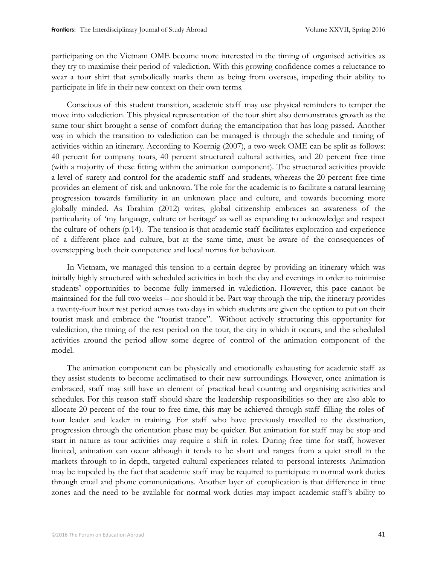participating on the Vietnam OME become more interested in the timing of organised activities as they try to maximise their period of valediction. With this growing confidence comes a reluctance to wear a tour shirt that symbolically marks them as being from overseas, impeding their ability to participate in life in their new context on their own terms.

Conscious of this student transition, academic staff may use physical reminders to temper the move into valediction. This physical representation of the tour shirt also demonstrates growth as the same tour shirt brought a sense of comfort during the emancipation that has long passed. Another way in which the transition to valediction can be managed is through the schedule and timing of activities within an itinerary. According to Koernig (2007), a two-week OME can be split as follows: 40 percent for company tours, 40 percent structured cultural activities, and 20 percent free time (with a majority of these fitting within the animation component). The structured activities provide a level of surety and control for the academic staff and students, whereas the 20 percent free time provides an element of risk and unknown. The role for the academic is to facilitate a natural learning progression towards familiarity in an unknown place and culture, and towards becoming more globally minded. As Ibrahim (2012) writes, global citizenship embraces an awareness of the particularity of 'my language, culture or heritage' as well as expanding to acknowledge and respect the culture of others (p.14). The tension is that academic staff facilitates exploration and experience of a different place and culture, but at the same time, must be aware of the consequences of overstepping both their competence and local norms for behaviour.

In Vietnam, we managed this tension to a certain degree by providing an itinerary which was initially highly structured with scheduled activities in both the day and evenings in order to minimise students' opportunities to become fully immersed in valediction. However, this pace cannot be maintained for the full two weeks – nor should it be. Part way through the trip, the itinerary provides a twenty-four hour rest period across two days in which students are given the option to put on their tourist mask and embrace the "tourist trance". Without actively structuring this opportunity for valediction, the timing of the rest period on the tour, the city in which it occurs, and the scheduled activities around the period allow some degree of control of the animation component of the model.

The animation component can be physically and emotionally exhausting for academic staff as they assist students to become acclimatised to their new surroundings. However, once animation is embraced, staff may still have an element of practical head counting and organising activities and schedules. For this reason staff should share the leadership responsibilities so they are also able to allocate 20 percent of the tour to free time, this may be achieved through staff filling the roles of tour leader and leader in training. For staff who have previously travelled to the destination, progression through the orientation phase may be quicker. But animation for staff may be stop and start in nature as tour activities may require a shift in roles. During free time for staff, however limited, animation can occur although it tends to be short and ranges from a quiet stroll in the markets through to in-depth, targeted cultural experiences related to personal interests. Animation may be impeded by the fact that academic staff may be required to participate in normal work duties through email and phone communications. Another layer of complication is that difference in time zones and the need to be available for normal work duties may impact academic staff 's ability to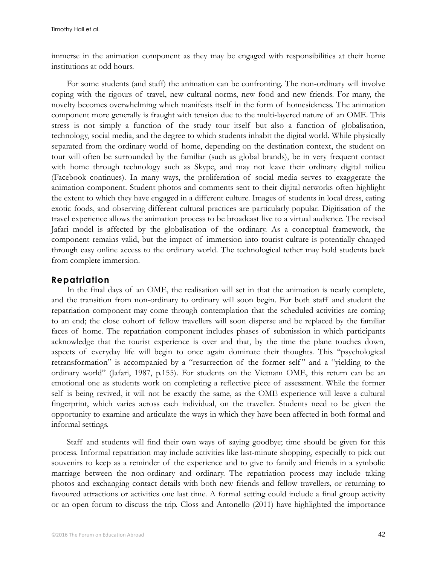immerse in the animation component as they may be engaged with responsibilities at their home institutions at odd hours.

For some students (and staff) the animation can be confronting. The non-ordinary will involve coping with the rigours of travel, new cultural norms, new food and new friends. For many, the novelty becomes overwhelming which manifests itself in the form of homesickness. The animation component more generally is fraught with tension due to the multi-layered nature of an OME. This stress is not simply a function of the study tour itself but also a function of globalisation, technology, social media, and the degree to which students inhabit the digital world. While physically separated from the ordinary world of home, depending on the destination context, the student on tour will often be surrounded by the familiar (such as global brands), be in very frequent contact with home through technology such as Skype, and may not leave their ordinary digital milieu (Facebook continues). In many ways, the proliferation of social media serves to exaggerate the animation component. Student photos and comments sent to their digital networks often highlight the extent to which they have engaged in a different culture. Images of students in local dress, eating exotic foods, and observing different cultural practices are particularly popular. Digitisation of the travel experience allows the animation process to be broadcast live to a virtual audience. The revised Jafari model is affected by the globalisation of the ordinary. As a conceptual framework, the component remains valid, but the impact of immersion into tourist culture is potentially changed through easy online access to the ordinary world. The technological tether may hold students back from complete immersion.

#### **Repatriation**

In the final days of an OME, the realisation will set in that the animation is nearly complete, and the transition from non-ordinary to ordinary will soon begin. For both staff and student the repatriation component may come through contemplation that the scheduled activities are coming to an end; the close cohort of fellow travellers will soon disperse and be replaced by the familiar faces of home. The repatriation component includes phases of submission in which participants acknowledge that the tourist experience is over and that, by the time the plane touches down, aspects of everyday life will begin to once again dominate their thoughts. This "psychological retransformation" is accompanied by a "resurrection of the former self" and a "yielding to the ordinary world" (Jafari, 1987, p.155). For students on the Vietnam OME, this return can be an emotional one as students work on completing a reflective piece of assessment. While the former self is being revived, it will not be exactly the same, as the OME experience will leave a cultural fingerprint, which varies across each individual, on the traveller. Students need to be given the opportunity to examine and articulate the ways in which they have been affected in both formal and informal settings.

Staff and students will find their own ways of saying goodbye; time should be given for this process. Informal repatriation may include activities like last-minute shopping, especially to pick out souvenirs to keep as a reminder of the experience and to give to family and friends in a symbolic marriage between the non-ordinary and ordinary. The repatriation process may include taking photos and exchanging contact details with both new friends and fellow travellers, or returning to favoured attractions or activities one last time. A formal setting could include a final group activity or an open forum to discuss the trip. Closs and Antonello (2011) have highlighted the importance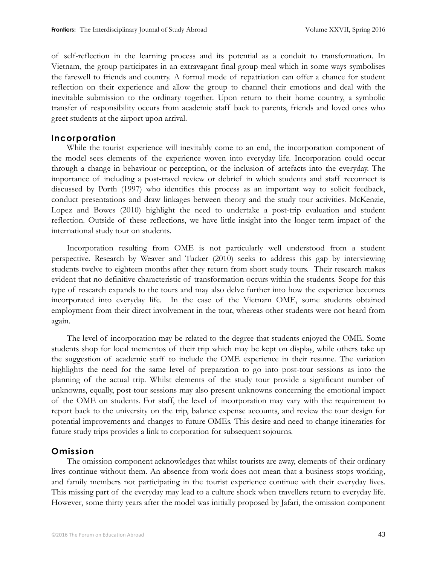of self-reflection in the learning process and its potential as a conduit to transformation. In Vietnam, the group participates in an extravagant final group meal which in some ways symbolises the farewell to friends and country. A formal mode of repatriation can offer a chance for student reflection on their experience and allow the group to channel their emotions and deal with the inevitable submission to the ordinary together. Upon return to their home country, a symbolic transfer of responsibility occurs from academic staff back to parents, friends and loved ones who greet students at the airport upon arrival.

#### **Incorporation**

While the tourist experience will inevitably come to an end, the incorporation component of the model sees elements of the experience woven into everyday life. Incorporation could occur through a change in behaviour or perception, or the inclusion of artefacts into the everyday. The importance of including a post-travel review or debrief in which students and staff reconnect is discussed by Porth (1997) who identifies this process as an important way to solicit feedback, conduct presentations and draw linkages between theory and the study tour activities. McKenzie, Lopez and Bowes (2010) highlight the need to undertake a post-trip evaluation and student reflection. Outside of these reflections, we have little insight into the longer-term impact of the international study tour on students.

Incorporation resulting from OME is not particularly well understood from a student perspective. Research by Weaver and Tucker (2010) seeks to address this gap by interviewing students twelve to eighteen months after they return from short study tours. Their research makes evident that no definitive characteristic of transformation occurs within the students. Scope for this type of research expands to the tours and may also delve further into how the experience becomes incorporated into everyday life. In the case of the Vietnam OME, some students obtained employment from their direct involvement in the tour, whereas other students were not heard from again.

The level of incorporation may be related to the degree that students enjoyed the OME. Some students shop for local mementos of their trip which may be kept on display, while others take up the suggestion of academic staff to include the OME experience in their resume. The variation highlights the need for the same level of preparation to go into post-tour sessions as into the planning of the actual trip. Whilst elements of the study tour provide a significant number of unknowns, equally, post-tour sessions may also present unknowns concerning the emotional impact of the OME on students. For staff, the level of incorporation may vary with the requirement to report back to the university on the trip, balance expense accounts, and review the tour design for potential improvements and changes to future OMEs. This desire and need to change itineraries for future study trips provides a link to corporation for subsequent sojourns.

#### **Omission**

The omission component acknowledges that whilst tourists are away, elements of their ordinary lives continue without them. An absence from work does not mean that a business stops working, and family members not participating in the tourist experience continue with their everyday lives. This missing part of the everyday may lead to a culture shock when travellers return to everyday life. However, some thirty years after the model was initially proposed by Jafari, the omission component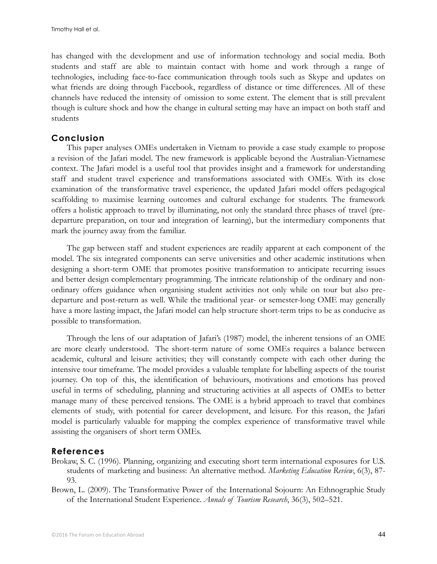has changed with the development and use of information technology and social media. Both students and staff are able to maintain contact with home and work through a range of technologies, including face-to-face communication through tools such as Skype and updates on what friends are doing through Facebook, regardless of distance or time differences. All of these channels have reduced the intensity of omission to some extent. The element that is still prevalent though is culture shock and how the change in cultural setting may have an impact on both staff and students

# **Conclusion**

This paper analyses OMEs undertaken in Vietnam to provide a case study example to propose a revision of the Jafari model. The new framework is applicable beyond the Australian-Vietnamese context. The Jafari model is a useful tool that provides insight and a framework for understanding staff and student travel experience and transformations associated with OMEs. With its close examination of the transformative travel experience, the updated Jafari model offers pedagogical scaffolding to maximise learning outcomes and cultural exchange for students. The framework offers a holistic approach to travel by illuminating, not only the standard three phases of travel (predeparture preparation, on tour and integration of learning), but the intermediary components that mark the journey away from the familiar.

The gap between staff and student experiences are readily apparent at each component of the model. The six integrated components can serve universities and other academic institutions when designing a short-term OME that promotes positive transformation to anticipate recurring issues and better design complementary programming. The intricate relationship of the ordinary and nonordinary offers guidance when organising student activities not only while on tour but also predeparture and post-return as well. While the traditional year- or semester-long OME may generally have a more lasting impact, the Jafari model can help structure short-term trips to be as conducive as possible to transformation.

Through the lens of our adaptation of Jafari's (1987) model, the inherent tensions of an OME are more clearly understood. The short-term nature of some OMEs requires a balance between academic, cultural and leisure activities; they will constantly compete with each other during the intensive tour timeframe. The model provides a valuable template for labelling aspects of the tourist journey. On top of this, the identification of behaviours, motivations and emotions has proved useful in terms of scheduling, planning and structuring activities at all aspects of OMEs to better manage many of these perceived tensions. The OME is a hybrid approach to travel that combines elements of study, with potential for career development, and leisure. For this reason, the Jafari model is particularly valuable for mapping the complex experience of transformative travel while assisting the organisers of short term OMEs.

## **References**

- Brokaw, S. C. (1996). Planning, organizing and executing short term international exposures for U.S. students of marketing and business: An alternative method. *Marketing Education Review*, 6(3), 87- 93.
- Brown, L. (2009). The Transformative Power of the International Sojourn: An Ethnographic Study of the International Student Experience. *Annals of Tourism Research*, 36(3), 502–521.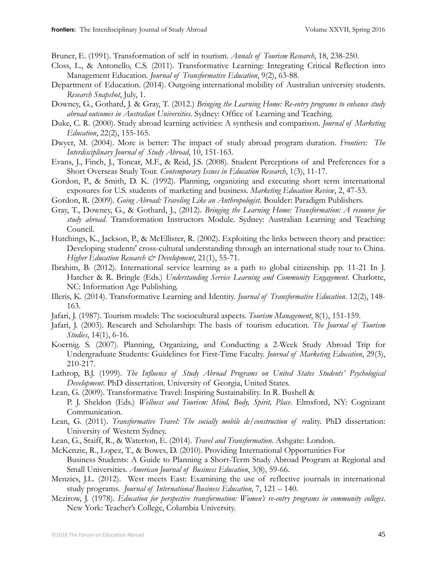Bruner, E. (1991). Transformation of self in tourism. *Annals of Tourism Research*, 18, 238-250.

- Closs, L., & Antonello, C.S. (2011). Transformative Learning: Integrating Critical Reflection into Management Education. *Journal of Transformative Education*, 9(2), 63-88.
- Department of Education. (2014). Outgoing international mobility of Australian university students. *Research Snapshot*, July, 1.
- Downey, G., Gothard, J. & Gray, T. (2012.) *Bringing the Learning Home: Re-entry programs to enhance study abroad outcomes in Australian Universities*. Sydney: Office of Learning and Teaching.
- Duke, C. R. (2000). Study abroad learning activities: A synthesis and comparison. *Journal of Marketing Education*, 22(2), 155-165.
- Dwyer, M. (2004). More is better: The impact of study abroad program duration. *Frontiers: The Interdisciplinary Journal of Study Abroad*, 10, 151-163.
- Evans, J., Finch, J., Toncar, M.F., & Reid, J.S. (2008). Student Perceptions of and Preferences for a Short Overseas Study Tour. *Contemporary Issues in Education Research*, 1(3), 11-17.
- Gordon, P., & Smith, D. K. (1992). Planning, organizing and executing short term international exposures for U.S. students of marketing and business. *Marketing Education Review*, 2, 47-53.
- Gordon, R. (2009). *Going Abroad: Traveling Like an Anthropologist*. Boulder: Paradigm Publishers.
- Gray, T., Downey, G., & Gothard, J., (2012). *Bringing the Learning Home: Transformation: A resource for study abroad*. Transformation Instructors Module. Sydney: Australian Learning and Teaching Council.
- Hutchings, K., Jackson, P., & McEllister, R. (2002). Exploiting the links between theory and practice: Developing students' cross-cultural understanding through an international study tour to China. *Higher Education Research & Development*, 21(1), 55-71.
- Ibrahim, B. (2012). International service learning as a path to global citizenship. pp. 11-21 In J. Hatcher & R. Bringle (Eds.) *Understanding Service Learning and Community Engagement*. Charlotte, NC: Information Age Publishing.
- Illeris, K. (2014). Transformative Learning and Identity. *Journal of Transformative Education*. 12(2), 148- 163.
- Jafari, J. (1987). Tourism models: The sociocultural aspects. *Tourism Management*, 8(1), 151-159.
- Jafari, J. (2003). Research and Scholarship: The basis of tourism education. *The Journal of Tourism Studies*, 14(1), 6-16.
- Koernig. S. (2007). Planning, Organizing, and Conducting a 2-Week Study Abroad Trip for Undergraduate Students: Guidelines for First-Time Faculty. *Journal of Marketing Education*, 29(3), 210-217.
- Lathrop, B.J. (1999). *The Influence of Study Abroad Programs on United States Students' Psychological Development*. PhD dissertation. University of Georgia, United States.
- Lean, G. (2009). Transformative Travel: Inspiring Sustainability. In R. Bushell &

P. J. Sheldon (Eds.) *Wellness and Tourism: Mind, Body, Spirit, Place*. Elmsford, NY: Cognizant Communication.

- Lean, G. (2011). *Transformative Travel: The socially mobile de/construction of re*ality. PhD dissertation: University of Western Sydney.
- Lean, G., Staiff, R., & Waterton, E. (2014). *Travel and Transformation*. Ashgate: London.
- McKenzie, R., Lopez, T., & Bowes, D. (2010). Providing International Opportunities For Business Students: A Guide to Planning a Short-Term Study Abroad Program at Regional and Small Universities. *American Journal of Business Education*, 3(8), 59-66.
- Menzies, J.L. (2012). West meets East: Examining the use of reflective journals in international study programs. *Journal of International Business Education*, 7, 121 – 140.
- Mezirow, J. (1978). *Education for perspective transformation: Women's re-entry programs in community colleges*. New York: Teacher's College, Columbia University.